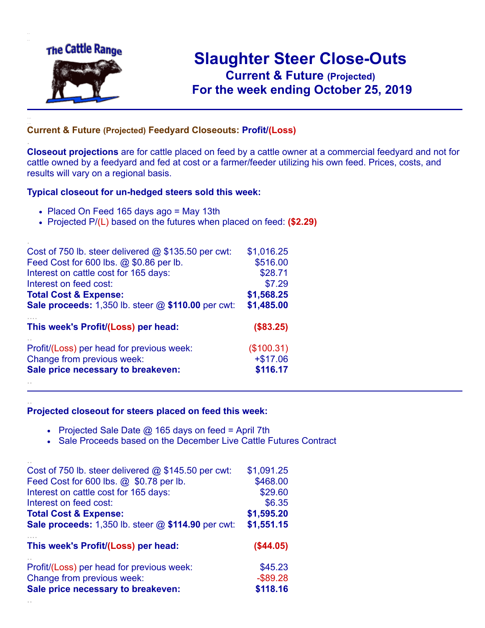

.

..

..

## **Slaughter Steer Close-Outs Current & Future (Projected)** .**For the week ending October 25, 2019**

## **Current & Future (Projected) Feedyard Closeouts: Profit/(Loss)**

**Closeout projections** are for cattle placed on feed by a cattle owner at a commercial feedyard and not for cattle owned by a feedyard and fed at cost or a farmer/feeder utilizing his own feed. Prices, costs, and results will vary on a regional basis.

## **Typical closeout for un-hedged steers sold this week:**

- Placed On Feed 165 days ago = May 13th
- Projected P/(L) based on the futures when placed on feed: **(\$2.29)**

| Cost of 750 lb. steer delivered $@$ \$135.50 per cwt:       | \$1,016.25 |
|-------------------------------------------------------------|------------|
| Feed Cost for 600 lbs. @ \$0.86 per lb.                     | \$516.00   |
| Interest on cattle cost for 165 days:                       | \$28.71    |
| Interest on feed cost:                                      | \$7.29     |
| <b>Total Cost &amp; Expense:</b>                            | \$1,568.25 |
| <b>Sale proceeds:</b> 1,350 lb. steer $@$ \$110.00 per cwt: | \$1,485.00 |
| This week's Profit/(Loss) per head:                         | (\$83.25)  |
| Profit/(Loss) per head for previous week:                   | (\$100.31) |
| Change from previous week:                                  | $+ $17.06$ |
| Sale price necessary to breakeven:                          | \$116.17   |
|                                                             |            |

## **Projected closeout for steers placed on feed this week:**

- Projected Sale Date  $@$  165 days on feed = April 7th
- Sale Proceeds based on the December Live Cattle Futures Contract

| Cost of 750 lb. steer delivered $@$ \$145.50 per cwt: | \$1,091.25  |
|-------------------------------------------------------|-------------|
| Feed Cost for 600 lbs. @ \$0.78 per lb.               | \$468.00    |
| Interest on cattle cost for 165 days:                 | \$29.60     |
| Interest on feed cost:                                | \$6.35      |
| <b>Total Cost &amp; Expense:</b>                      | \$1,595.20  |
| Sale proceeds: 1,350 lb. steer @ \$114.90 per cwt:    | \$1,551.15  |
|                                                       |             |
| This week's Profit/(Loss) per head:                   | (\$44.05)   |
| Profit/(Loss) per head for previous week:             | \$45.23     |
| Change from previous week:                            | $-$ \$89.28 |
| Sale price necessary to breakeven:                    | \$118.16    |